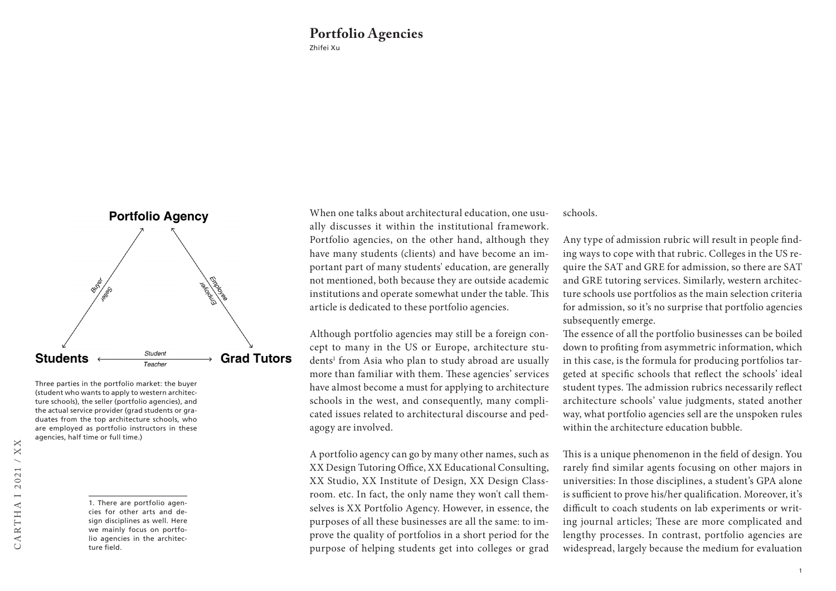## Zhifei Xu **Portfolio Agencies**



Three parties in the portfolio market: the buyer (student who wants to apply to western architecture schools), the seller (portfolio agencies), and the actual service provider (grad students or graduates from the top architecture schools, who are employed as portfolio instructors in these agencies, half time or full time.)

When one talks about architectural education, one usually discusses it within the institutional framework. Portfolio agencies, on the other hand, although they have many students (clients) and have become an important part of many students' education, are generally not mentioned, both because they are outside academic institutions and operate somewhat under the table. This article is dedicated to these portfolio agencies.

Although portfolio agencies may still be a foreign concept to many in the US or Europe, architecture students<sup>1</sup> from Asia who plan to study abroad are usually more than familiar with them. These agencies' services have almost become a must for applying to architecture schools in the west, and consequently, many complicated issues related to architectural discourse and pedagogy are involved.

A portfolio agency can go by many other names, such as XX Design Tutoring Office, XX Educational Consulting, XX Studio, XX Institute of Design, XX Design Classroom. etc. In fact, the only name they won't call themselves is XX Portfolio Agency. However, in essence, the purposes of all these businesses are all the same: to improve the quality of portfolios in a short period for the purpose of helping students get into colleges or grad

schools.

Any type of admission rubric will result in people finding ways to cope with that rubric. Colleges in the US require the SAT and GRE for admission, so there are SAT and GRE tutoring services. Similarly, western architecture schools use portfolios as the main selection criteria for admission, so it's no surprise that portfolio agencies subsequently emerge.

The essence of all the portfolio businesses can be boiled down to profiting from asymmetric information, which in this case, is the formula for producing portfolios targeted at specific schools that reflect the schools' ideal student types. The admission rubrics necessarily reflect architecture schools' value judgments, stated another way, what portfolio agencies sell are the unspoken rules within the architecture education bubble.

This is a unique phenomenon in the field of design. You rarely find similar agents focusing on other majors in universities: In those disciplines, a student's GPA alone is sufficient to prove his/her qualification. Moreover, it's difficult to coach students on lab experiments or writing journal articles; These are more complicated and lengthy processes. In contrast, portfolio agencies are widespread, largely because the medium for evaluation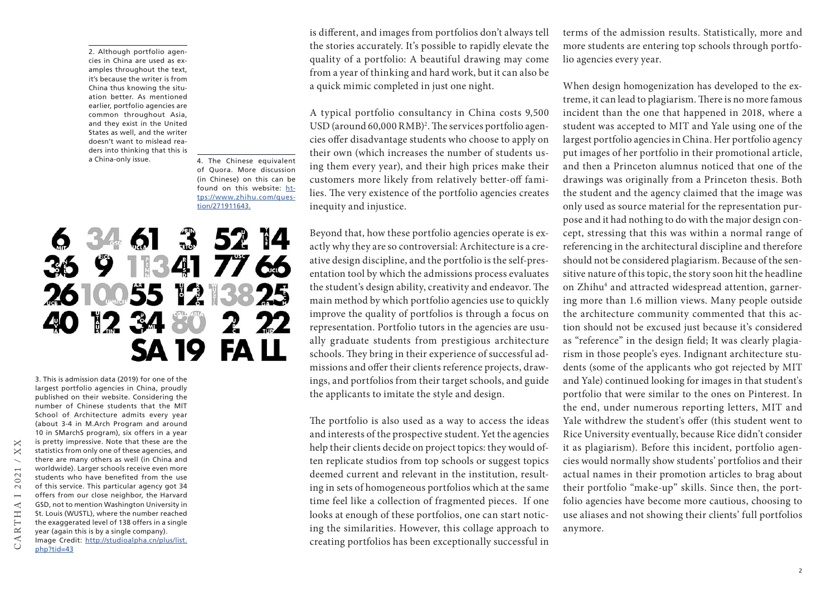2. Although portfolio agencies in China are used as examples throughout the text, it's because the writer is from China thus knowing the situation better. As mentioned earlier, portfolio agencies are common throughout Asia, and they exist in the United States as well, and the writer doesn't want to mislead readers into thinking that this is<br>a China-only issue.

4. The Chinese equivalent of Quora. More discussion (in Chinese) on this can be found on this website: [ht](https://www.zhihu.com/question/271911643.)[tps://www.zhihu.com/ques](https://www.zhihu.com/question/271911643.)[tion/271911643.](https://www.zhihu.com/question/271911643.)

# 34 61 3 52 14 41  $R<sup>3</sup>$ L 7766 **2610055** 1234 7 SA 10 FΔ

3. This is admission data (2019) for one of the largest portfolio agencies in China, proudly published on their website. Considering the number of Chinese students that the MIT School of Architecture admits every year (about 3-4 in M.Arch Program and around 10 in SMarchS program), six offers in a year is pretty impressive. Note that these are the statistics from only one of these agencies, and there are many others as well (in China and worldwide). Larger schools receive even more students who have benefited from the use of this service. This particular agency got 34 offers from our close neighbor, the Harvard GSD, not to mention Washington University in St. Louis (WUSTL), where the number reached the exaggerated level of 138 offers in a single year (again this is by a single company). Image Credit: [http://studioalpha.cn/plus/list.](http://studioalpha.cn/plus/list.php?tid=43) [php?tid=43](http://studioalpha.cn/plus/list.php?tid=43)

CARTHA I 2021 / XX

**ARTHA** 

 $\times$  $\mathbf{X}$  $\overline{\phantom{0}}$ 2021  $\overline{\phantom{0}}$  is different, and images from portfolios don't always tell the stories accurately. It's possible to rapidly elevate the quality of a portfolio: A beautiful drawing may come from a year of thinking and hard work, but it can also be a quick mimic completed in just one night.

A typical portfolio consultancy in China costs 9,500 USD (around 60,000 RMB)2 . The services portfolio agencies offer disadvantage students who choose to apply on their own (which increases the number of students using them every year), and their high prices make their customers more likely from relatively better-off families. The very existence of the portfolio agencies creates inequity and injustice.

Beyond that, how these portfolio agencies operate is exactly why they are so controversial: Architecture is a creative design discipline, and the portfolio is the self-presentation tool by which the admissions process evaluates the student's design ability, creativity and endeavor. The main method by which portfolio agencies use to quickly improve the quality of portfolios is through a focus on representation. Portfolio tutors in the agencies are usually graduate students from prestigious architecture schools. They bring in their experience of successful admissions and offer their clients reference projects, drawings, and portfolios from their target schools, and guide the applicants to imitate the style and design.

The portfolio is also used as a way to access the ideas and interests of the prospective student. Yet the agencies help their clients decide on project topics: they would often replicate studios from top schools or suggest topics deemed current and relevant in the institution, resulting in sets of homogeneous portfolios which at the same time feel like a collection of fragmented pieces. If one looks at enough of these portfolios, one can start noticing the similarities. However, this collage approach to creating portfolios has been exceptionally successful in terms of the admission results. Statistically, more and more students are entering top schools through portfolio agencies every year.

When design homogenization has developed to the extreme, it can lead to plagiarism. There is no more famous incident than the one that happened in 2018, where a student was accepted to MIT and Yale using one of the largest portfolio agencies in China. Her portfolio agency put images of her portfolio in their promotional article, and then a Princeton alumnus noticed that one of the drawings was originally from a Princeton thesis. Both the student and the agency claimed that the image was only used as source material for the representation purpose and it had nothing to do with the major design concept, stressing that this was within a normal range of referencing in the architectural discipline and therefore should not be considered plagiarism. Because of the sensitive nature of this topic, the story soon hit the headline on Zhihu<sup>4</sup> and attracted widespread attention, garnering more than 1.6 million views. Many people outside the architecture community commented that this action should not be excused just because it's considered as "reference" in the design field; It was clearly plagiarism in those people's eyes. Indignant architecture students (some of the applicants who got rejected by MIT and Yale) continued looking for images in that student's portfolio that were similar to the ones on Pinterest. In the end, under numerous reporting letters, MIT and Yale withdrew the student's offer (this student went to Rice University eventually, because Rice didn't consider it as plagiarism). Before this incident, portfolio agencies would normally show students' portfolios and their actual names in their promotion articles to brag about their portfolio "make-up" skills. Since then, the portfolio agencies have become more cautious, choosing to use aliases and not showing their clients' full portfolios anymore.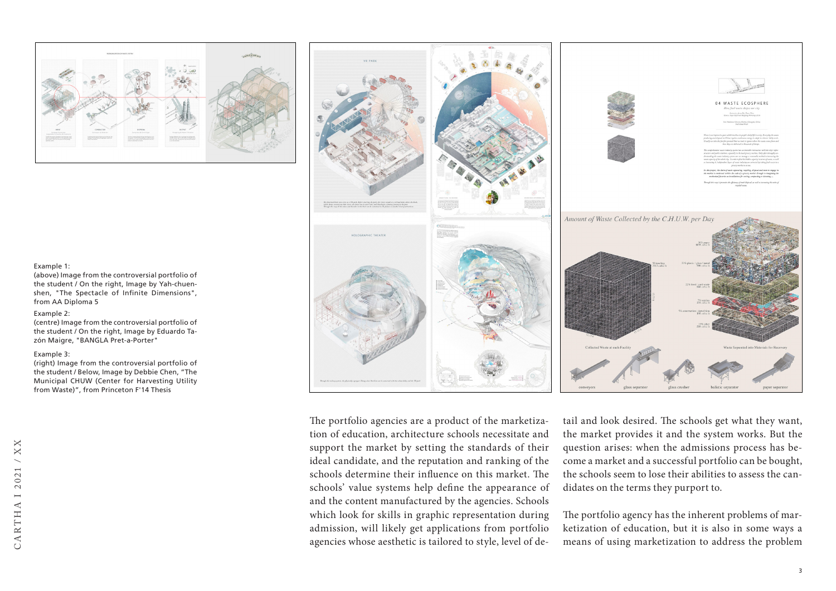

#### Example 1:

(above) Image from the controversial portfolio of the student / On the right, Image by Yah-chuenshen, "The Spectacle of Infinite Dimensions", from AA Diploma 5

### Example 2:

(centre) Image from the controversial portfolio of the student / On the right, Image by Eduardo Tazón Maigre, "BANGLA Pret-a-Porter"

#### Example 3:

(right) Image from the controversial portfolio of the student / Below, Image by Debbie Chen, "The Municipal CHUW (Center for Harvesting Utility from Waste)", from Princeton F'14 Thesis





The portfolio agencies are a product of the marketization of education, architecture schools necessitate and support the market by setting the standards of their ideal candidate, and the reputation and ranking of the schools determine their influence on this market. The schools' value systems help define the appearance of and the content manufactured by the agencies. Schools which look for skills in graphic representation during admission, will likely get applications from portfolio agencies whose aesthetic is tailored to style, level of de-

tail and look desired. The schools get what they want, the market provides it and the system works. But the question arises: when the admissions process has become a market and a successful portfolio can be bought, the schools seem to lose their abilities to assess the candidates on the terms they purport to.

The portfolio agency has the inherent problems of marketization of education, but it is also in some ways a means of using marketization to address the problem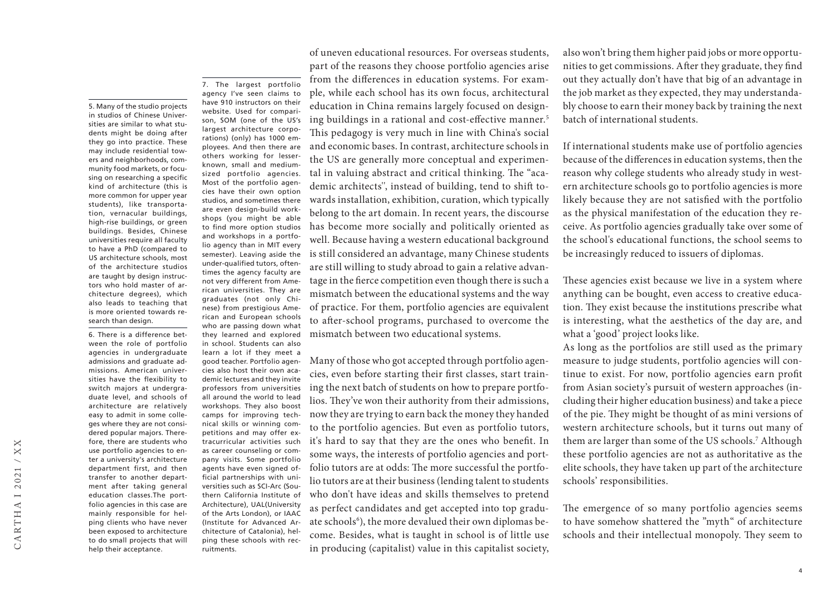tion, vernacular buildings, high-rise buildings, or green buildings. Besides, Chinese universities require all faculty to have a PhD (compared to US architecture schools, most of the architecture studios are taught by design instructors who hold master of architecture degrees), which also leads to teaching that is more oriented towards research than design. 6. There is a difference between the role of portfolio agencies in undergraduate admissions and graduate admissions. American universities have the flexibility to switch majors at undergraduate level, and schools of architecture are relatively easy to admit in some colleges where they are not considered popular majors. Therefore, there are students who use portfolio agencies to enter a university's architecture department first, and then transfer to another department after taking general education classes.The portfolio agencies in this case are mainly responsible for helping clients who have never been exposed to architecture to do small projects that will

help their acceptance.

5. Many of the studio projects in studios of Chinese Universities are similar to what students might be doing after they go into practice. These may include residential towers and neighborhoods, community food markets, or focusing on researching a specific kind of architecture (this is more common for upper year students), like transporta7. The largest portfolio agency I've seen claims to have 910 instructors on their website. Used for comparison, SOM (one of the US's largest architecture corporations) (only) has 1000 employees. And then there are others working for lesserknown, small and mediumsized portfolio agencies. Most of the portfolio agencies have their own option studios, and sometimes there are even design-build workshops (you might be able to find more option studios and workshops in a portfolio agency than in MIT every semester). Leaving aside the under-qualified tutors, oftentimes the agency faculty are not very different from American universities. They are graduates (not only Chinese) from prestigious American and European schools who are passing down what they learned and explored in school. Students can also learn a lot if they meet a good teacher. Portfolio agencies also host their own academic lectures and they invite professors from universities all around the world to lead workshops. They also boost camps for improving technical skills or winning competitions and may offer extracurricular activities such as career counseling or company visits. Some portfolio agents have even signed official partnerships with universities such as SCI-Arc (Southern California Institute of Architecture), UAL(University of the Arts London), or IAAC (Institute for Advanced Architecture of Catalonia), helping these schools with recruitments.

of uneven educational resources. For overseas students, part of the reasons they choose portfolio agencies arise from the differences in education systems. For example, while each school has its own focus, architectural education in China remains largely focused on designing buildings in a rational and cost-effective manner.<sup>5</sup> This pedagogy is very much in line with China's social and economic bases. In contrast, architecture schools in the US are generally more conceptual and experimental in valuing abstract and critical thinking. The "academic architects'', instead of building, tend to shift towards installation, exhibition, curation, which typically belong to the art domain. In recent years, the discourse has become more socially and politically oriented as well. Because having a western educational background is still considered an advantage, many Chinese students are still willing to study abroad to gain a relative advantage in the fierce competition even though there is such a mismatch between the educational systems and the way of practice. For them, portfolio agencies are equivalent to after-school programs, purchased to overcome the mismatch between two educational systems.

Many of those who got accepted through portfolio agencies, even before starting their first classes, start training the next batch of students on how to prepare portfolios. They've won their authority from their admissions, now they are trying to earn back the money they handed to the portfolio agencies. But even as portfolio tutors, it's hard to say that they are the ones who benefit. In some ways, the interests of portfolio agencies and portfolio tutors are at odds: The more successful the portfolio tutors are at their business (lending talent to students who don't have ideas and skills themselves to pretend as perfect candidates and get accepted into top graduate schools<sup>6</sup>), the more devalued their own diplomas become. Besides, what is taught in school is of little use in producing (capitalist) value in this capitalist society,

also won't bring them higher paid jobs or more opportunities to get commissions. After they graduate, they find out they actually don't have that big of an advantage in the job market as they expected, they may understandably choose to earn their money back by training the next batch of international students.

If international students make use of portfolio agencies because of the differences in education systems, then the reason why college students who already study in western architecture schools go to portfolio agencies is more likely because they are not satisfied with the portfolio as the physical manifestation of the education they receive. As portfolio agencies gradually take over some of the school's educational functions, the school seems to be increasingly reduced to issuers of diplomas.

These agencies exist because we live in a system where anything can be bought, even access to creative education. They exist because the institutions prescribe what is interesting, what the aesthetics of the day are, and what a 'good' project looks like.

As long as the portfolios are still used as the primary measure to judge students, portfolio agencies will continue to exist. For now, portfolio agencies earn profit from Asian society's pursuit of western approaches (including their higher education business) and take a piece of the pie. They might be thought of as mini versions of western architecture schools, but it turns out many of them are larger than some of the US schools.7 Although these portfolio agencies are not as authoritative as the elite schools, they have taken up part of the architecture schools' responsibilities.

The emergence of so many portfolio agencies seems to have somehow shattered the "myth" of architecture schools and their intellectual monopoly. They seem to

 $\overline{A}$